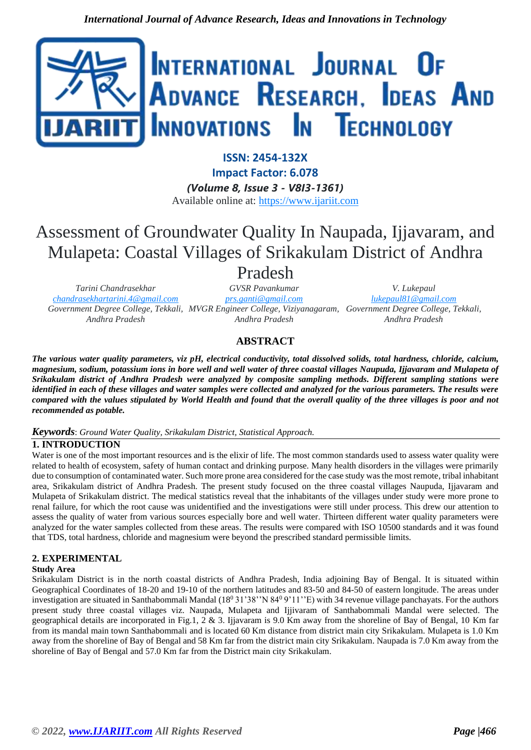

**ISSN: 2454-132X Impact Factor: 6.078**

*(Volume 8, Issue 3 - V8I3-1361)* Available online at: [https://www.ijariit.com](https://www.ijariit.com/?utm_source=pdf&utm_medium=edition&utm_campaign=OmAkSols&utm_term=V8I3-1361)

# Assessment of Groundwater Quality In Naupada, Ijjavaram, and Mulapeta: Coastal Villages of Srikakulam District of Andhra

## Pradesh

*Tarini Chandrasekhar [chandrasekhartarini.4@gmail.com](mailto:chandrasekhartarini.4@gmail.com) Government Degree College, Tekkali, MVGR Engineer College, Viziyanagaram, Government Degree College, Tekkali, Andhra Pradesh*

*GVSR Pavankumar [prs.ganti@gmail.com](mailto:prs.ganti@gmail.com) Andhra Pradesh*

*V. Lukepaul [lukepaul81@gmail.com](mailto:lukepaul81@gmail.com) Andhra Pradesh*

## **ABSTRACT**

*The various water quality parameters, viz pH, electrical conductivity, total dissolved solids, total hardness, chloride, calcium, magnesium, sodium, potassium ions in bore well and well water of three coastal villages Naupuda, Ijjavaram and Mulapeta of Srikakulam district of Andhra Pradesh were analyzed by composite sampling methods. Different sampling stations were identified in each of these villages and water samples were collected and analyzed for the various parameters. The results were compared with the values stipulated by World Health and found that the overall quality of the three villages is poor and not recommended as potable.* 

#### *Keywords*: *Ground Water Quality, Srikakulam District, Statistical Approach.*

### **1. INTRODUCTION**

Water is one of the most important resources and is the elixir of life. The most common standards used to assess water quality were related to health of ecosystem, safety of human contact and drinking purpose. Many health disorders in the villages were primarily due to consumption of contaminated water. Such more prone area considered for the case study was the most remote, tribal inhabitant area, Srikakulam district of Andhra Pradesh. The present study focused on the three coastal villages Naupuda, Ijjavaram and Mulapeta of Srikakulam district. The medical statistics reveal that the inhabitants of the villages under study were more prone to renal failure, for which the root cause was unidentified and the investigations were still under process. This drew our attention to assess the quality of water from various sources especially bore and well water. Thirteen different water quality parameters were analyzed for the water samples collected from these areas. The results were compared with ISO 10500 standards and it was found that TDS, total hardness, chloride and magnesium were beyond the prescribed standard permissible limits.

#### **2. EXPERIMENTAL**

#### **Study Area**

Srikakulam District is in the north coastal districts of Andhra Pradesh, India adjoining Bay of Bengal. It is situated within Geographical Coordinates of 18-20 and 19-10 of the northern latitudes and 83-50 and 84-50 of eastern longitude. The areas under investigation are situated in Santhabommali Mandal (18<sup>0</sup> 31'38"N 84<sup>0</sup> 9'11"E) with 34 revenue village panchayats. For the authors present study three coastal villages viz. Naupada, Mulapeta and Ijjivaram of Santhabommali Mandal were selected. The geographical details are incorporated in Fig.1, 2 & 3. Ijjavaram is 9.0 Km away from the shoreline of Bay of Bengal, 10 Km far from its mandal main town Santhabommali and is located 60 Km distance from district main city Srikakulam. Mulapeta is 1.0 Km away from the shoreline of Bay of Bengal and 58 Km far from the district main city Srikakulam. Naupada is 7.0 Km away from the shoreline of Bay of Bengal and 57.0 Km far from the District main city Srikakulam.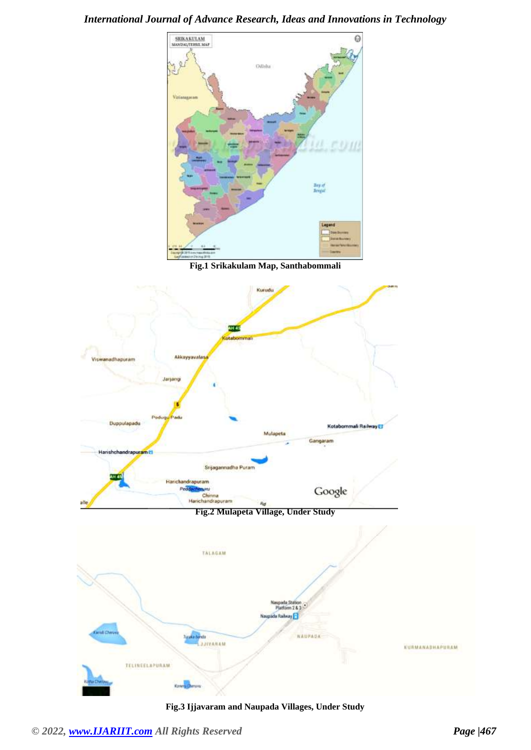

**Fig.1 Srikakulam Map, Santhabommali**



**Fig.3 Ijjavaram and Naupada Villages, Under Study**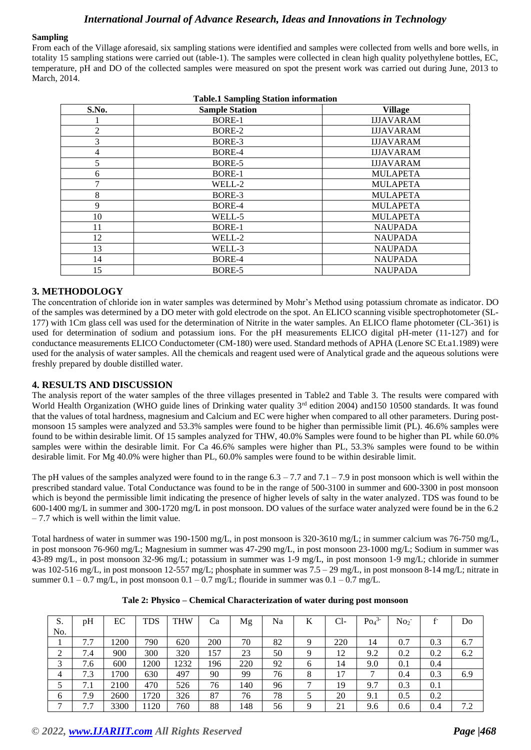#### **Sampling**

From each of the Village aforesaid, six sampling stations were identified and samples were collected from wells and bore wells, in totality 15 sampling stations were carried out (table-1). The samples were collected in clean high quality polyethylene bottles, EC, temperature, pH and DO of the collected samples were measured on spot the present work was carried out during June, 2013 to March, 2014.

| S.No.          | <b>Sample Station</b> | <b>Village</b>   |
|----------------|-----------------------|------------------|
|                | BORE-1                | <b>IJJAVARAM</b> |
| $\mathfrak{2}$ | BORE-2                | <b>IJJAVARAM</b> |
| 3              | BORE-3                | <b>IJJAVARAM</b> |
| 4              | BORE-4                | <b>IJJAVARAM</b> |
| 5              | BORE-5                | <b>IJJAVARAM</b> |
| 6              | BORE-1                | <b>MULAPETA</b>  |
| 7              | WELL-2                | <b>MULAPETA</b>  |
| 8              | BORE-3                | <b>MULAPETA</b>  |
| 9              | BORE-4                | <b>MULAPETA</b>  |
| 10             | WELL-5                | <b>MULAPETA</b>  |
| 11             | BORE-1                | <b>NAUPADA</b>   |
| 12             | WELL-2                | <b>NAUPADA</b>   |
| 13             | WELL-3                | <b>NAUPADA</b>   |
| 14             | BORE-4                | <b>NAUPADA</b>   |
| 15             | BORE-5                | <b>NAUPADA</b>   |

#### **3. METHODOLOGY**

The concentration of chloride ion in water samples was determined by Mohr's Method using potassium chromate as indicator. DO of the samples was determined by a DO meter with gold electrode on the spot. An ELICO scanning visible spectrophotometer (SL-177) with 1Cm glass cell was used for the determination of Nitrite in the water samples. An ELICO flame photometer (CL-361) is used for determination of sodium and potassium ions. For the pH measurements ELICO digital pH-meter (11-127) and for conductance measurements ELICO Conductometer (CM-180) were used. Standard methods of APHA (Lenore SC Et.a1.1989) were used for the analysis of water samples. All the chemicals and reagent used were of Analytical grade and the aqueous solutions were freshly prepared by double distilled water.

#### **4. RESULTS AND DISCUSSION**

The analysis report of the water samples of the three villages presented in Table2 and Table 3. The results were compared with World Health Organization (WHO guide lines of Drinking water quality 3<sup>rd</sup> edition 2004) and150 10500 standards. It was found that the values of total hardness, magnesium and Calcium and EC were higher when compared to all other parameters. During postmonsoon 15 samples were analyzed and 53.3% samples were found to be higher than permissible limit (PL). 46.6% samples were found to be within desirable limit. Of 15 samples analyzed for THW, 40.0% Samples were found to be higher than PL while 60.0% samples were within the desirable limit. For Ca 46.6% samples were higher than PL, 53.3% samples were found to be within desirable limit. For Mg 40.0% were higher than PL, 60.0% samples were found to be within desirable limit.

The pH values of the samples analyzed were found to in the range  $6.3 - 7.7$  and  $7.1 - 7.9$  in post monsoon which is well within the prescribed standard value. Total Conductance was found to be in the range of 500-3100 in summer and 600-3300 in post monsoon which is beyond the permissible limit indicating the presence of higher levels of salty in the water analyzed. TDS was found to be 600-1400 mg/L in summer and 300-1720 mg/L in post monsoon. DO values of the surface water analyzed were found be in the 6.2 – 7.7 which is well within the limit value.

Total hardness of water in summer was 190-1500 mg/L, in post monsoon is 320-3610 mg/L; in summer calcium was 76-750 mg/L, in post monsoon 76-960 mg/L; Magnesium in summer was 47-290 mg/L, in post monsoon 23-1000 mg/L; Sodium in summer was 43-89 mg/L, in post monsoon 32-96 mg/L; potassium in summer was 1-9 mg/L, in post monsoon 1-9 mg/L; chloride in summer was 102-516 mg/L, in post monsoon 12-557 mg/L; phosphate in summer was 7.5 – 29 mg/L, in post monsoon 8-14 mg/L; nitrate in summer  $0.1 - 0.7$  mg/L, in post monsoon  $0.1 - 0.7$  mg/L; flouride in summer was  $0.1 - 0.7$  mg/L.

| S.             | pH  | EC   | <b>TDS</b> | THW  | Ca  | Mg  | Na | K | Cl- | $Po_4^3$ | No <sub>2</sub> |     | D <sub>o</sub> |
|----------------|-----|------|------------|------|-----|-----|----|---|-----|----------|-----------------|-----|----------------|
| No.            |     |      |            |      |     |     |    |   |     |          |                 |     |                |
|                | 7.7 | 1200 | 790        | 620  | 200 | 70  | 82 | Q | 220 | 14       | 0.7             | 0.3 | 6.7            |
| ◠              | 7.4 | 900  | 300        | 320  | 157 | 23  | 50 | Q | 12  | 9.2      | 0.2             | 0.2 | 6.2            |
| 3              | 7.6 | 600  | 1200       | 1232 | 196 | 220 | 92 | 6 | 14  | 9.0      | 0.1             | 0.4 |                |
| $\overline{4}$ | 7.3 | 1700 | 630        | 497  | 90  | 99  | 76 | 8 | 17  | ⇁        | 0.4             | 0.3 | 6.9            |
|                | 7.1 | 2100 | 470        | 526  | 76  | 140 | 96 | ⇁ | 19  | 9.7      | 0.3             | 0.1 |                |
| 6              | 7.9 | 2600 | 1720       | 326  | 87  | 76  | 78 |   | 20  | 9.1      | 0.5             | 0.2 |                |
| $\overline{ }$ | 7.7 | 3300 | 1120       | 760  | 88  | 148 | 56 | Q | 21  | 9.6      | 0.6             | 0.4 | 7.2            |

| Tale 2: Physico – Chemical Characterization of water during post monsoon |
|--------------------------------------------------------------------------|
|--------------------------------------------------------------------------|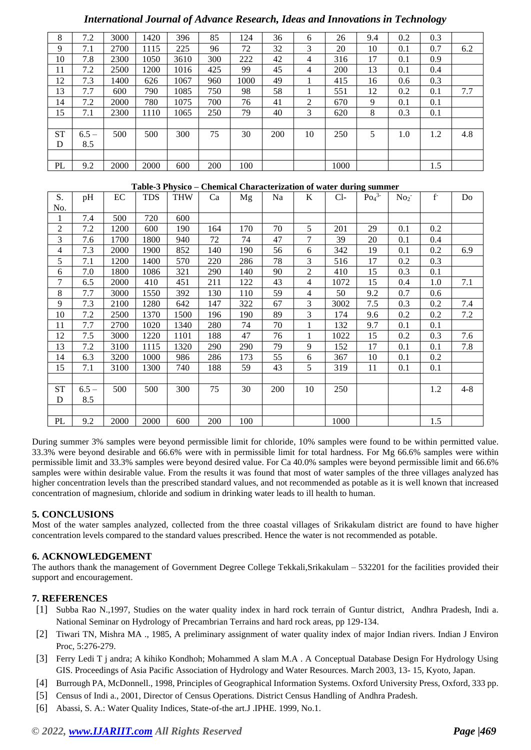| 8         | 7.2     | 3000 | 1420 | 396  | 85  | 124  | 36  | 6              | 26   | 9.4 | 0.2     | 0.3 |     |
|-----------|---------|------|------|------|-----|------|-----|----------------|------|-----|---------|-----|-----|
| 9         | 7.1     | 2700 | 1115 | 225  | 96  | 72   | 32  | 3              | 20   | 10  | 0.1     | 0.7 | 6.2 |
| 10        | 7.8     | 2300 | 1050 | 3610 | 300 | 222  | 42  | 4              | 316  | 17  | 0.1     | 0.9 |     |
| 11        | 7.2     | 2500 | 1200 | 1016 | 425 | 99   | 45  | $\overline{4}$ | 200  | 13  | 0.1     | 0.4 |     |
| 12        | 7.3     | 1400 | 626  | 1067 | 960 | 1000 | 49  |                | 415  | 16  | 0.6     | 0.3 |     |
| 13        | 7.7     | 600  | 790  | 1085 | 750 | 98   | 58  |                | 551  | 12  | 0.2     | 0.1 | 7.7 |
| 14        | 7.2     | 2000 | 780  | 1075 | 700 | 76   | 41  | 2              | 670  | 9   | 0.1     | 0.1 |     |
| 15        | 7.1     | 2300 | 1110 | 1065 | 250 | 79   | 40  | 3              | 620  | 8   | 0.3     | 0.1 |     |
|           |         |      |      |      |     |      |     |                |      |     |         |     |     |
| <b>ST</b> | $6.5 -$ | 500  | 500  | 300  | 75  | 30   | 200 | 10             | 250  | 5   | $1.0\,$ | 1.2 | 4.8 |
| D         | 8.5     |      |      |      |     |      |     |                |      |     |         |     |     |
|           |         |      |      |      |     |      |     |                |      |     |         |     |     |
| PL        | 9.2     | 2000 | 2000 | 600  | 200 | 100  |     |                | 1000 |     |         | 1.5 |     |

#### **Table-3 Physico – Chemical Characterization of water during summer**

| S.             | pH      | EC   | <b>TDS</b> | THW  | Ca  | Mg  | Na  | K              | $Cl-$ | $Po_4^3$ | No <sub>2</sub> | $f-$ | Do      |
|----------------|---------|------|------------|------|-----|-----|-----|----------------|-------|----------|-----------------|------|---------|
| No.            |         |      |            |      |     |     |     |                |       |          |                 |      |         |
| 1              | 7.4     | 500  | 720        | 600  |     |     |     |                |       |          |                 |      |         |
| $\overline{c}$ | 7.2     | 1200 | 600        | 190  | 164 | 170 | 70  | 5              | 201   | 29       | 0.1             | 0.2  |         |
| 3              | 7.6     | 1700 | 1800       | 940  | 72  | 74  | 47  | 7              | 39    | 20       | 0.1             | 0.4  |         |
| 4              | 7.3     | 2000 | 1900       | 852  | 140 | 190 | 56  | 6              | 342   | 19       | 0.1             | 0.2  | 6.9     |
| 5              | 7.1     | 1200 | 1400       | 570  | 220 | 286 | 78  | 3              | 516   | 17       | 0.2             | 0.3  |         |
| 6              | 7.0     | 1800 | 1086       | 321  | 290 | 140 | 90  | $\overline{2}$ | 410   | 15       | 0.3             | 0.1  |         |
| $\tau$         | 6.5     | 2000 | 410        | 451  | 211 | 122 | 43  | 4              | 1072  | 15       | 0.4             | 1.0  | 7.1     |
| 8              | 7.7     | 3000 | 1550       | 392  | 130 | 110 | 59  | $\overline{4}$ | 50    | 9.2      | 0.7             | 0.6  |         |
| 9              | 7.3     | 2100 | 1280       | 642  | 147 | 322 | 67  | 3              | 3002  | 7.5      | 0.3             | 0.2  | 7.4     |
| 10             | 7.2     | 2500 | 1370       | 1500 | 196 | 190 | 89  | 3              | 174   | 9.6      | 0.2             | 0.2  | 7.2     |
| 11             | 7.7     | 2700 | 1020       | 1340 | 280 | 74  | 70  | $\mathbf{1}$   | 132   | 9.7      | 0.1             | 0.1  |         |
| 12             | 7.5     | 3000 | 1220       | 1101 | 188 | 47  | 76  | $\mathbf{1}$   | 1022  | 15       | 0.2             | 0.3  | 7.6     |
| 13             | 7.2     | 3100 | 1115       | 1320 | 290 | 290 | 79  | 9              | 152   | 17       | 0.1             | 0.1  | 7.8     |
| 14             | 6.3     | 3200 | 1000       | 986  | 286 | 173 | 55  | 6              | 367   | 10       | 0.1             | 0.2  |         |
| 15             | 7.1     | 3100 | 1300       | 740  | 188 | 59  | 43  | 5              | 319   | 11       | 0.1             | 0.1  |         |
|                |         |      |            |      |     |     |     |                |       |          |                 |      |         |
| <b>ST</b>      | $6.5 -$ | 500  | 500        | 300  | 75  | 30  | 200 | 10             | 250   |          |                 | 1.2  | $4 - 8$ |
| D              | 8.5     |      |            |      |     |     |     |                |       |          |                 |      |         |
|                |         |      |            |      |     |     |     |                |       |          |                 |      |         |
| PL             | 9.2     | 2000 | 2000       | 600  | 200 | 100 |     |                | 1000  |          |                 | 1.5  |         |

During summer 3% samples were beyond permissible limit for chloride, 10% samples were found to be within permitted value. 33.3% were beyond desirable and 66.6% were with in permissible limit for total hardness. For Mg 66.6% samples were within permissible limit and 33.3% samples were beyond desired value. For Ca 40.0% samples were beyond permissible limit and 66.6% samples were within desirable value. From the results it was found that most of water samples of the three villages analyzed has higher concentration levels than the prescribed standard values, and not recommended as potable as it is well known that increased concentration of magnesium, chloride and sodium in drinking water leads to ill health to human.

### **5. CONCLUSIONS**

Most of the water samples analyzed, collected from the three coastal villages of Srikakulam district are found to have higher concentration levels compared to the standard values prescribed. Hence the water is not recommended as potable.

#### **6. ACKNOWLEDGEMENT**

The authors thank the management of Government Degree College Tekkali,Srikakulam – 532201 for the facilities provided their support and encouragement.

#### **7. REFERENCES**

- [1] Subba Rao N.,1997, Studies on the water quality index in hard rock terrain of Guntur district, Andhra Pradesh, Indi a. National Seminar on Hydrology of Precambrian Terrains and hard rock areas, pp 129-134.
- [2] Tiwari TN, Mishra MA ., 1985, A preliminary assignment of water quality index of major Indian rivers. Indian J Environ Proc, 5:276-279.
- [3] Ferry Ledi T j andra; A kihiko Kondhoh; Mohammed A slam M.A . A Conceptual Database Design For Hydrology Using GIS. Proceedings of Asia Pacific Association of Hydrology and Water Resources. March 2003, 13- 15, Kyoto, Japan.
- [4] Burrough PA, McDonnell., 1998, Principles of Geographical Information Systems. Oxford University Press, Oxford, 333 pp.
- [5] Census of Indi a., 2001, Director of Census Operations. District Census Handling of Andhra Pradesh.
- [6] Abassi, S. A.: Water Quality Indices, State-of-the art.J .IPHE. 1999, No.1.